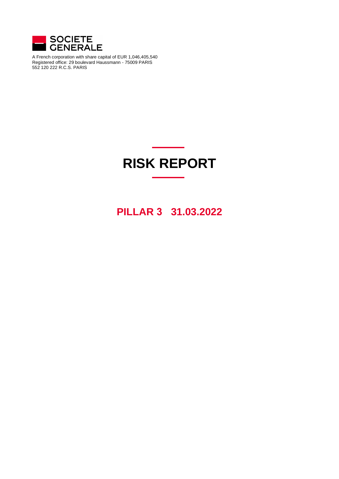

A French corporation with share capital of EUR 1,046,405,540 Registered office: 29 boulevard Haussmann - 75009 PARIS 552 120 222 R.C.S. PARIS

# **RISK REPORT**

### **PILLAR 3 31.03.2022**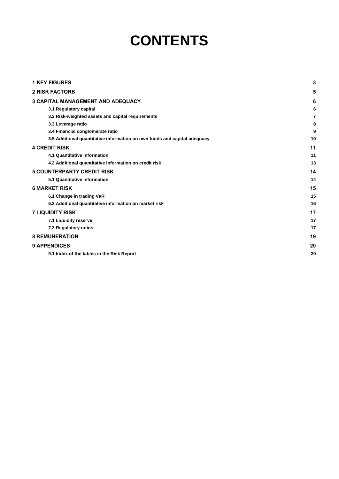# **CONTENTS**

| <b>1 KEY FIGURES</b>                                                      | 3  |
|---------------------------------------------------------------------------|----|
| <b>2 RISK FACTORS</b>                                                     | 5  |
| <b>3 CAPITAL MANAGEMENT AND ADEQUACY</b>                                  | 6  |
| 3.1 Regulatory capital                                                    | 6  |
| 3.2 Risk-weighted assets and capital requirements                         | 7  |
| 3.3 Leverage ratio                                                        | 8  |
| 3.4 Financial conglomerate ratio                                          | 9  |
| 3.5 Additional quantitative information on own funds and capital adequacy | 10 |
| <b>4 CREDIT RISK</b>                                                      | 11 |
| 4.1 Quantitative information                                              | 11 |
| 4.2 Additional quantitative information on credit risk                    | 13 |
| <b>5 COUNTERPARTY CREDIT RISK</b>                                         | 14 |
| 5.1 Quantitative information                                              | 14 |
| <b>6 MARKET RISK</b>                                                      | 15 |
| 6.1 Change in trading VaR                                                 | 15 |
| 6.2 Additional quantitative information on market risk                    | 16 |
| <b>7 LIQUIDITY RISK</b>                                                   | 17 |
| 7.1 Liquidity reserve                                                     | 17 |
| 7.2 Regulatory ratios                                                     | 17 |
| <b>8 REMUNERATION</b>                                                     | 19 |
| <b>9 APPENDICES</b>                                                       | 20 |
| 9.1 Index of the tables in the Risk Report                                | 20 |
|                                                                           |    |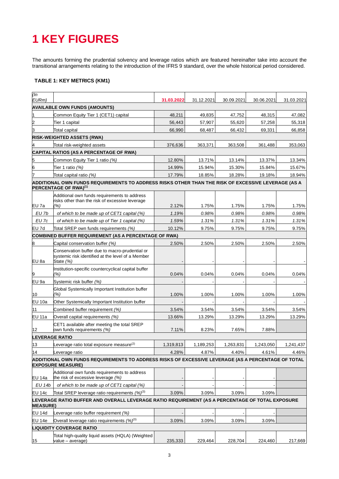## <span id="page-2-0"></span>**1 KEY FIGURES**

The amounts forming the prudential solvency and leverage ratios which are featured hereinafter take into account the transitional arrangements relating to the introduction of the IFRS 9 standard, over the whole historical period considered.

#### **TABLE 1: KEY METRICS (KM1)**

| $($ In<br>EURm)  |                                                                                                                                         | 31.03.2022 | 31.12.2021 | 30.09.2021 | 30.06.2021 | 31.03.2021 |
|------------------|-----------------------------------------------------------------------------------------------------------------------------------------|------------|------------|------------|------------|------------|
|                  | <b>AVAILABLE OWN FUNDS (AMOUNTS)</b>                                                                                                    |            |            |            |            |            |
|                  | Common Equity Tier 1 (CET1) capital                                                                                                     | 48,211     | 49,835     | 47,752     | 48,315     | 47,082     |
|                  | Tier 1 capital                                                                                                                          | 56,443     | 57,907     | 55,620     | 57,258     | 55,318     |
| 3                | <b>Total capital</b>                                                                                                                    | 66,990     | 68,487     | 66,432     | 69,331     | 66,858     |
|                  | <b>RISK-WEIGHTED ASSETS (RWA)</b>                                                                                                       |            |            |            |            |            |
|                  | Total risk-weighted assets                                                                                                              | 376,636    | 363,371    | 363,508    | 361,488    | 353,063    |
|                  | <b>CAPITAL RATIOS (AS A PERCENTAGE OF RWA)</b>                                                                                          |            |            |            |            |            |
| 5                | Common Equity Tier 1 ratio (%)                                                                                                          | 12.80%     | 13.71%     | 13.14%     | 13.37%     | 13.34%     |
| 6                | Tier 1 ratio (%)                                                                                                                        | 14.99%     | 15.94%     | 15.30%     | 15.84%     | 15.67%     |
|                  | Total capital ratio (%)                                                                                                                 | 17.79%     | 18.85%     | 18.28%     | 19.18%     | 18.94%     |
|                  | ADDITIONAL OWN FUNDS REQUIREMENTS TO ADDRESS RISKS OTHER THAN THE RISK OF EXCESSIVE LEVERAGE (AS A<br>PERCENTAGE OF RWA) <sup>(1)</sup> |            |            |            |            |            |
|                  | Additional own funds requirements to address                                                                                            |            |            |            |            |            |
| EU 7a            | risks other than the risk of excessive leverage<br>(%)                                                                                  | 2.12%      | 1.75%      | 1.75%      | 1.75%      | 1.75%      |
| EU 7b            | of which to be made up of CET1 capital (%)                                                                                              | 1.19%      | 0.98%      | 0.98%      | 0.98%      | 0.98%      |
| $EU$ 7 $c$       | of which to be made up of Tier 1 capital (%)                                                                                            | 1.59%      | 1.31%      | 1.31%      | 1.31%      | 1.31%      |
| EU <sub>7d</sub> | Total SREP own funds requirements (%)                                                                                                   | 10.12%     | 9.75%      | 9.75%      | 9.75%      | 9.75%      |
|                  | <b>COMBINED BUFFER REQUIREMENT (AS A PERCENTAGE OF RWA)</b>                                                                             |            |            |            |            |            |
| 8                | Capital conservation buffer (%)                                                                                                         | 2.50%      | 2.50%      | 2.50%      | 2.50%      | 2.50%      |
|                  | Conservation buffer due to macro-prudential or                                                                                          |            |            |            |            |            |
| EU 8a            | systemic risk identified at the level of a Member<br>State (%)                                                                          |            |            |            |            |            |
|                  | Institution-specific countercyclical capital buffer<br>(%)                                                                              | 0.04%      | 0.04%      | 0.04%      | 0.04%      | 0.04%      |
| EU <sub>9a</sub> | Systemic risk buffer (%)                                                                                                                |            |            |            |            |            |
| 10               | Global Systemically Important Institution buffer<br>(%)                                                                                 | 1.00%      | 1.00%      | 1.00%      | 1.00%      | 1.00%      |
| EU 10a           | Other Systemically Important Institution buffer                                                                                         |            |            |            |            |            |
| 11               | Combined buffer requirement (%)                                                                                                         | 3.54%      | 3.54%      | 3.54%      | 3.54%      | 3.54%      |
| <b>EU 11a</b>    | Overall capital requirements (%)                                                                                                        | 13.66%     | 13.29%     | 13.29%     | 13.29%     | 13.29%     |
|                  | CET1 available after meeting the total SREP                                                                                             |            |            |            |            |            |
| 12               | own funds requirements (%)                                                                                                              | 7.11%      | 8.23%      | 7.65%      | 7.88%      |            |
|                  | <b>LEVERAGE RATIO</b>                                                                                                                   |            |            |            |            |            |
| 13               | Leverage ratio total exposure measure <sup>(2)</sup>                                                                                    | 1,319,813  | 1,189,253  | 1,263,831  | 1,243,050  | 1,241,437  |
| 14               | Leverage ratio<br>ADDITIONAL OWN FUNDS REQUIREMENTS TO ADDRESS RISKS OF EXCESSIVE LEVERAGE (AS A PERCENTAGE OF TOTAL                    | 4.28%      | 4.87%      | 4.40%      | 4.61%      | 4.46%      |
|                  | <b>EXPOSURE MEASURE)</b>                                                                                                                |            |            |            |            |            |
| EU 14a           | Additional own funds requirements to address<br>the risk of excessive leverage (%)                                                      |            |            |            |            |            |
| EU 14b           | of which to be made up of CET1 capital (%)                                                                                              |            |            |            |            |            |
| EU 14c           | Total SREP leverage ratio requirements $(\frac{9}{2})^{(3)}$                                                                            | 3.09%      | 3.09%      | 3.09%      | 3.09%      |            |
| <b>MEASURE)</b>  | LEVERAGE RATIO BUFFER AND OVERALL LEVERAGE RATIO REQUIREMENT (AS A PERCENTAGE OF TOTAL EXPOSURE                                         |            |            |            |            |            |
| <b>EU 14d</b>    | Leverage ratio buffer requirement (%)                                                                                                   |            |            |            |            |            |
| <b>EU 14e</b>    | Overall leverage ratio requirements $(\frac{9}{2})^{(3)}$                                                                               | 3.09%      | 3.09%      | 3.09%      | 3.09%      |            |
|                  | <b>LIQUIDITY COVERAGE RATIO</b>                                                                                                         |            |            |            |            |            |
| 15               | Total high-quality liquid assets (HQLA) (Weighted<br>value - average)                                                                   | 235,333    | 229,464    | 228,704    | 224,460    | 217,669    |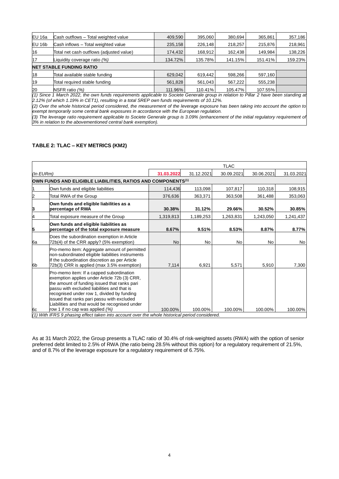| EU 16a | Cash outflows - Total weighted value                                                                                                  | 409,590 | 395,060 | 380,694 | 365,861 | 357,186 |  |  |  |
|--------|---------------------------------------------------------------------------------------------------------------------------------------|---------|---------|---------|---------|---------|--|--|--|
| EU 16b | Cash inflows - Total weighted value                                                                                                   | 235,158 | 226,148 | 218,257 | 215,876 | 218,961 |  |  |  |
| 16     | Total net cash outflows (adjusted value)                                                                                              | 174,432 | 168,912 | 162,438 | 149,984 | 138,226 |  |  |  |
| 17     | Liquidity coverage ratio $(%)$                                                                                                        | 134.72% | 135.78% | 141.15% | 151.41% | 159.23% |  |  |  |
|        | <b>NET STABLE FUNDING RATIO</b>                                                                                                       |         |         |         |         |         |  |  |  |
| 18     | Total available stable funding                                                                                                        | 629,042 | 619,442 | 598,266 | 597,160 |         |  |  |  |
| 19     | Total required stable funding                                                                                                         | 561,828 | 561,043 | 567,222 | 555,238 |         |  |  |  |
| 20     | NSFR ratio $(%)$                                                                                                                      | 111.96% | 110.41% | 105.47% | 107.55% |         |  |  |  |
|        | (1) Since 1 March 2022, the own funds requirements applicable to Societe Generale group in relation to Pillar 2 have been standing at |         |         |         |         |         |  |  |  |

*(1) Since 1 March 2022, the own funds requirements applicable to Societe Generale group in relation to Pillar 2 have been standing at 2.12% (of which 1.19% in CET1), resulting in a total SREP own funds requirements of 10.12%.*

*(2) Over the whole historical period considered, the measurement of the leverage exposure has been taking into account the option to exempt temporarily some central bank exposures in accordance with the European regulation.* 

*(3) The leverage ratio requirement applicable to Societe Generale group is 3.09% (enhancement of the initial regulatory requirement of 3% in relation to the abovementioned central bank exemption).* 

#### **TABLE 2: TLAC – KEY METRICS (KM2)**

|           |                                                                                                                                                                                                                                                                                                                                       | <b>TLAC</b> |            |            |            |            |  |  |
|-----------|---------------------------------------------------------------------------------------------------------------------------------------------------------------------------------------------------------------------------------------------------------------------------------------------------------------------------------------|-------------|------------|------------|------------|------------|--|--|
| (In EURm) |                                                                                                                                                                                                                                                                                                                                       | 31.03.2022  | 31.12.2021 | 30.09.2021 | 30.06.2021 | 31.03.2021 |  |  |
|           | OWN FUNDS AND ELIGIBLE LIABILITIES, RATIOS AND COMPONENTS <sup>(1)</sup>                                                                                                                                                                                                                                                              |             |            |            |            |            |  |  |
|           | Own funds and eligible liabilities                                                                                                                                                                                                                                                                                                    | 114,436     | 113,098    | 107,817    | 110,318    | 108,915    |  |  |
| 2         | Total RWA of the Group                                                                                                                                                                                                                                                                                                                | 376,636     | 363,371    | 363,508    | 361,488    | 353,063    |  |  |
| 3         | Own funds and eligible liabilities as a<br>percentage of RWA                                                                                                                                                                                                                                                                          | 30.38%      | 31.12%     | 29.66%     | 30.52%     | 30.85%     |  |  |
| 4         | Total exposure measure of the Group                                                                                                                                                                                                                                                                                                   | 1,319,813   | 1,189,253  | 1,263,831  | 1,243,050  | 1,241,437  |  |  |
| 5         | Own funds and eligible liabilities as<br>percentage of the total exposure measure                                                                                                                                                                                                                                                     | 8.67%       | 9.51%      | 8.53%      | 8.87%      | 8.77%      |  |  |
| 6a        | Does the subordination exemption in Article<br>72b(4) of the CRR apply? (5% exemption)                                                                                                                                                                                                                                                | <b>No</b>   | No         | <b>No</b>  | No         | No         |  |  |
| 6b        | Pro-memo item: Aggregate amount of permitted<br>non-subordinated eligible liabilities instruments<br>If the subordination discretion as per Article<br>72b(3) CRR is applied (max 3.5% exemption)                                                                                                                                     | 7,114       | 6,921      | 5,571      | 5,910      | 7,300      |  |  |
|           | Pro-memo item: If a capped subordination<br>exemption applies under Article 72b (3) CRR,<br>the amount of funding issued that ranks pari<br>passu with excluded liabilities and that is<br>recognised under row 1, divided by funding<br>issued that ranks pari passu with excluded<br>Liabilities and that would be recognised under |             |            |            |            |            |  |  |
| l6c       | row 1 if no cap was applied $(%)$                                                                                                                                                                                                                                                                                                     | 100.00%     | 100.00%    | 100.00%    | 100.00%    | 100.00%    |  |  |
|           | $(1)$ With IFRS 9 phasing effect taken into account over the whole historical period considered.                                                                                                                                                                                                                                      |             |            |            |            |            |  |  |

As at 31 March 2022, the Group presents a TLAC ratio of 30.4% of risk-weighted assets (RWA) with the option of senior preferred debt limited to 2.5% of RWA (the ratio being 28.5% without this option) for a regulatory requirement of 21.5%, and of 8.7% of the leverage exposure for a regulatory requirement of 6.75%.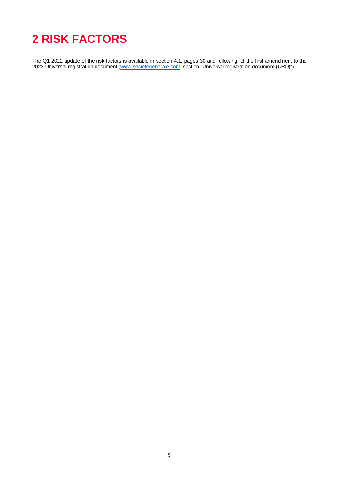## <span id="page-4-0"></span>**2 RISK FACTORS**

The Q1 2022 update of the risk factors is available in section 4.1, pages 30 and following, of the first amendment to the 2022 Universal registration document [\(www.societegenerale.com,](https://www.societegenerale.com/en) section "Universal registration document (URD)").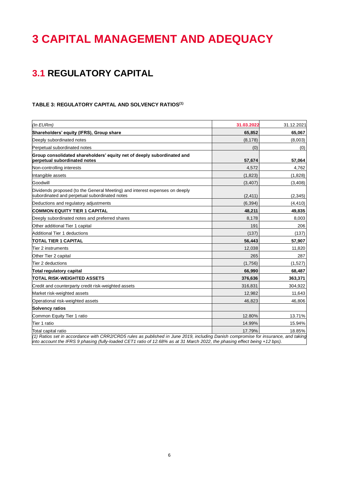## <span id="page-5-0"></span>**3 CAPITAL MANAGEMENT AND ADEQUACY**

### <span id="page-5-1"></span>**3.1 REGULATORY CAPITAL**

#### **TABLE 3: REGULATORY CAPITAL AND SOLVENCY RATIOS(1)**

| (In EURm)                                                                                                                                                                                                                                                                               | 31.03.2022 | 31.12.2021 |
|-----------------------------------------------------------------------------------------------------------------------------------------------------------------------------------------------------------------------------------------------------------------------------------------|------------|------------|
| Shareholders' equity (IFRS), Group share                                                                                                                                                                                                                                                | 65,852     | 65,067     |
| Deeply subordinated notes                                                                                                                                                                                                                                                               | (8, 178)   | (8,003)    |
| Perpetual subordinated notes                                                                                                                                                                                                                                                            | (0)        | (0)        |
| Group consolidated shareholders' equity net of deeply subordinated and<br>perpetual subordinated notes                                                                                                                                                                                  | 57,674     | 57,064     |
| Non-controlling interests                                                                                                                                                                                                                                                               | 4,572      | 4,762      |
| Intangible assets                                                                                                                                                                                                                                                                       | (1,823)    | (1,828)    |
| Goodwill                                                                                                                                                                                                                                                                                | (3, 407)   | (3,408)    |
| Dividends proposed (to the General Meeting) and interest expenses on deeply<br>subordinated and perpetual subordinated notes                                                                                                                                                            | (2, 411)   | (2,345)    |
| Deductions and regulatory adjustments                                                                                                                                                                                                                                                   | (6, 394)   | (4, 410)   |
| <b>COMMON EQUITY TIER 1 CAPITAL</b>                                                                                                                                                                                                                                                     | 48,211     | 49,835     |
| Deeply subordinated notes and preferred shares                                                                                                                                                                                                                                          | 8,178      | 8.003      |
| Other additional Tier 1 capital                                                                                                                                                                                                                                                         | 191        | 206        |
| Additional Tier 1 deductions                                                                                                                                                                                                                                                            | (137)      | (137)      |
| <b>TOTAL TIER 1 CAPITAL</b>                                                                                                                                                                                                                                                             | 56,443     | 57,907     |
| Tier 2 instruments                                                                                                                                                                                                                                                                      | 12,038     | 11,820     |
| Other Tier 2 capital                                                                                                                                                                                                                                                                    | 265        | 287        |
| Tier 2 deductions                                                                                                                                                                                                                                                                       | (1,756)    | (1,527)    |
| Total regulatory capital                                                                                                                                                                                                                                                                | 66,990     | 68,487     |
| <b>TOTAL RISK-WEIGHTED ASSETS</b>                                                                                                                                                                                                                                                       | 376,636    | 363,371    |
| Credit and counterparty credit risk-weighted assets                                                                                                                                                                                                                                     | 316,831    | 304,922    |
| Market risk-weighted assets                                                                                                                                                                                                                                                             | 12,982     | 11,643     |
| Operational risk-weighted assets                                                                                                                                                                                                                                                        | 46,823     | 46,806     |
| <b>Solvency ratios</b>                                                                                                                                                                                                                                                                  |            |            |
| Common Equity Tier 1 ratio                                                                                                                                                                                                                                                              | 12.80%     | 13.71%     |
| Tier 1 ratio                                                                                                                                                                                                                                                                            | 14.99%     | 15.94%     |
| Total capital ratio<br>(1) Ratios set in accordance with CRR2/CRD5 rules as published in June 2019, including Danish compromise for insurance, and taking<br>into account the IFRS 9 phasing (fully-loaded CET1 ratio of 12.68% as at 31 March 2022, the phasing effect being +12 bps). | 17.79%     | 18.85%     |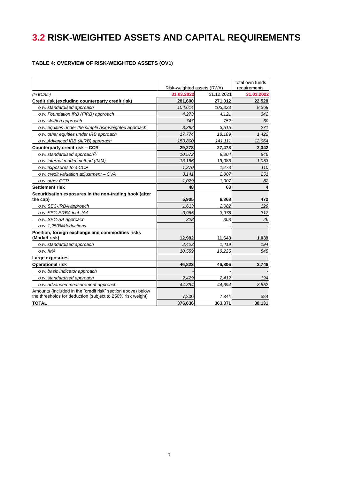### <span id="page-6-0"></span>**3.2 RISK-WEIGHTED ASSETS AND CAPITAL REQUIREMENTS**

#### **TABLE 4: OVERVIEW OF RISK-WEIGHTED ASSETS (OV1)**

|                                                                   | Risk-weighted assets (RWA) | Total own funds<br>requirements |            |
|-------------------------------------------------------------------|----------------------------|---------------------------------|------------|
| (In EURm)                                                         | 31.03.2022                 | 31.12.2021                      | 31.03.2022 |
| Credit risk (excluding counterparty credit risk)                  | 281,600                    | 271,012                         | 22,528     |
| o.w. standardised approach                                        | 104,614                    | 103,323                         | 8.369      |
| o.w. Foundation IRB (FIRB) approach                               | 4,273                      | 4.121                           | 342        |
| o.w. slotting approach                                            | 747                        | 752                             | 60         |
| o.w. equities under the simple risk-weighted approach             | 3,392                      | 3.515                           | 271        |
| o.w. other equities under IRB approach                            | 17,774                     | 18, 189                         | 1,422      |
| o.w. Advanced IRB (AIRB) approach                                 | 150,800                    | 141,111                         | 12,064     |
| Counterparty credit risk - CCR                                    | 29,278                     | 27,478                          | 2,342      |
| o.w. standardised approach <sup>(1)</sup>                         | 10,572                     | 9.304                           | 846        |
| o.w. internal model method (IMM)                                  | 13,166                     | 13,088                          | 1,053      |
| o.w. exposures to a CCP                                           | 1.370                      | 1.273                           | 110        |
| o.w. credit valuation adjustment - CVA                            | 3,141                      | 2,807                           | 251        |
| o.w. other CCR                                                    | 1,029                      | 1.007                           | 82         |
| Settlement risk                                                   | 48                         | 63                              | 4          |
| Securitisation exposures in the non-trading book (after           |                            |                                 |            |
| the cap)                                                          | 5,905                      | 6,368                           | 472        |
| o.w. SEC-IRBA approach                                            | 1.613                      | 2,082                           | 129        |
| o.w. SEC-ERBA incL IAA                                            | 3.965                      | 3,978                           | 317        |
| o.w. SEC-SA approach                                              | 328                        | 308                             | 26         |
| o.w. 1.250%/deductions                                            |                            |                                 |            |
| Position, foreign exchange and commodities risks<br>(Market risk) | 12,982                     | 11,643                          | 1,039      |
| o.w. standardised approach                                        | 2,423                      | 1,419                           | 194        |
| o.w. IMA                                                          | 10,559                     | 10,225                          | 845        |
| Large exposures                                                   |                            |                                 |            |
| <b>Operational risk</b>                                           | 46,823                     | 46,806                          | 3,746      |
| o.w. basic indicator approach                                     |                            |                                 |            |
| o.w. standardised approach                                        | 2,429                      | 2,412                           | 194        |
| o.w. advanced measurement approach                                | 44,394                     | 44.394                          | 3,552      |
| Amounts (included in the "credit risk" section above) below       |                            |                                 |            |
| the thresholds for deduction (subject to 250% risk weight)        | 7,300                      | 7,344                           | 584        |
| <b>TOTAL</b>                                                      | 376,636                    | 363,371                         | 30,131     |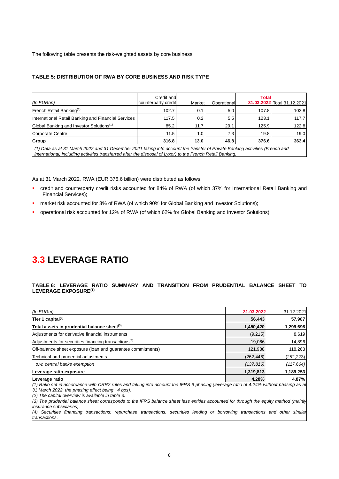The following table presents the risk-weighted assets by core business:

#### **TABLE 5: DISTRIBUTION OF RWA BY CORE BUSINESS AND RISK TYPE**

| $(ln$ EURbn $)$                                                                                                               | Credit and<br>counterparty credit | Market           | Operational | Total | 31.03.2022 Total 31.12.2021 |  |  |  |  |
|-------------------------------------------------------------------------------------------------------------------------------|-----------------------------------|------------------|-------------|-------|-----------------------------|--|--|--|--|
| French Retail Banking <sup>(1)</sup>                                                                                          | 102.7                             | 0.1              | 5.0         | 107.8 | 103.8                       |  |  |  |  |
| International Retail Banking and Financial Services                                                                           | 117.5                             | 0.2 <sub>0</sub> | 5.5         | 123.1 | 117.7                       |  |  |  |  |
| Global Banking and Investor Solutions <sup>(1)</sup>                                                                          | 85.2                              | 11.7             | 29.1        | 125.9 | 122.8                       |  |  |  |  |
| Corporate Centre                                                                                                              | 11.5                              | 1.0              | 7.3         | 19.8  | 19.0                        |  |  |  |  |
| Group                                                                                                                         | 316.8                             | 13.0             | 46.8        | 376.6 | 363.4                       |  |  |  |  |
| (4) Data as at 04 Month 0000 and 04 Described 0004 to line into account the twenty of Dobrate Depline activities (Foundle and |                                   |                  |             |       |                             |  |  |  |  |

*(1) Data as at 31 March 2022 and 31 December 2021 taking into account the transfer of Private Banking activities (French and international; including activities transferred after the disposal of Lyxor) to the French Retail Banking.*

As at 31 March 2022, RWA (EUR 376.6 billion) were distributed as follows:

- credit and counterparty credit risks accounted for 84% of RWA (of which 37% for International Retail Banking and Financial Services);
- market risk accounted for 3% of RWA (of which 90% for Global Banking and Investor Solutions);
- operational risk accounted for 12% of RWA (of which 62% for Global Banking and Investor Solutions).

#### <span id="page-7-0"></span>**3.3 LEVERAGE RATIO**

#### **TABLE 6: LEVERAGE RATIO SUMMARY AND TRANSITION FROM PRUDENTIAL BALANCE SHEET TO LEVERAGE EXPOSURE(1)**

| (In EURm)                                                        | 31.03.2022 | 31.12.2021 |
|------------------------------------------------------------------|------------|------------|
| Tier 1 capital <sup>(2)</sup>                                    | 56,443     | 57,907     |
| Total assets in prudential balance sheet <sup>(3)</sup>          | 1,450,420  | 1,299,698  |
| Adjustments for derivative financial instruments                 | (9,215)    | 8,619      |
| Adjustments for securities financing transactions <sup>(4)</sup> | 19,066     | 14,896     |
| Off-balance sheet exposure (loan and guarantee commitments)      | 121,988    | 118,263    |
| Technical and prudential adjustments                             | (262, 446) | (252, 223) |
| o.w. central banks exemption                                     | (137, 816) | (117, 664) |
| Leverage ratio exposure                                          | 1,319,813  | 1,189,253  |
| Leverage ratio                                                   | 4.28%      | 4.87%      |

*(1) Ratio set in accordance with CRR2 rules and taking into account the IFRS 9 phasing (leverage ratio of 4.24% without phasing as at 31 March 2022, the phasing effect being +4 bps).*

*(2) The capital overview is available in table 3.*

*(3) The prudential balance sheet corresponds to the IFRS balance sheet less entities accounted for through the equity method (mainly insurance subsidiaries).* 

*(4) Securities financing transactions: repurchase transactions, securities lending or borrowing transactions and other similar transactions.*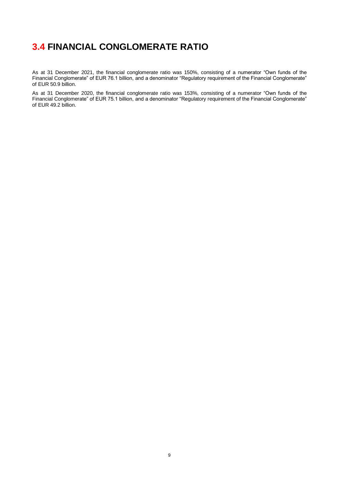### <span id="page-8-0"></span>**3.4 FINANCIAL CONGLOMERATE RATIO**

As at 31 December 2021, the financial conglomerate ratio was 150%, consisting of a numerator "Own funds of the Financial Conglomerate" of EUR 76.1 billion, and a denominator "Regulatory requirement of the Financial Conglomerate" of EUR 50.9 billion.

As at 31 December 2020, the financial conglomerate ratio was 153%, consisting of a numerator "Own funds of the Financial Conglomerate" of EUR 75.1 billion, and a denominator "Regulatory requirement of the Financial Conglomerate" of EUR 49.2 billion.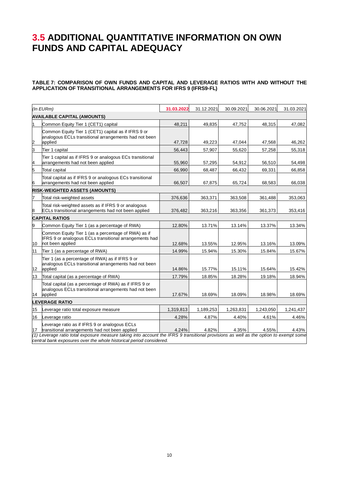### <span id="page-9-0"></span>**3.5 ADDITIONAL QUANTITATIVE INFORMATION ON OWN FUNDS AND CAPITAL ADEQUACY**

#### **TABLE 7: COMPARISON OF OWN FUNDS AND CAPITAL AND LEVERAGE RATIOS WITH AND WITHOUT THE APPLICATION OF TRANSITIONAL ARRANGEMENTS FOR IFRS 9 (IFRS9-FL)**

|                | (In EURm)                                                                                                                                                                                                    | 31.03.2022 | 31.12.2021 | 30.09.2021 | 30.06.2021 | 31.03.2021 |  |  |  |
|----------------|--------------------------------------------------------------------------------------------------------------------------------------------------------------------------------------------------------------|------------|------------|------------|------------|------------|--|--|--|
|                | <b>AVAILABLE CAPITAL (AMOUNTS)</b>                                                                                                                                                                           |            |            |            |            |            |  |  |  |
|                | Common Equity Tier 1 (CET1) capital                                                                                                                                                                          | 48,211     | 49,835     | 47,752     | 48,315     | 47,082     |  |  |  |
|                | Common Equity Tier 1 (CET1) capital as if IFRS 9 or<br>analogous ECLs transitional arrangements had not been                                                                                                 |            |            |            |            |            |  |  |  |
| $\overline{2}$ | applied                                                                                                                                                                                                      | 47,728     | 49,223     | 47,044     | 47,568     | 46,262     |  |  |  |
| 3              | Tier 1 capital                                                                                                                                                                                               | 56,443     | 57,907     | 55,620     | 57,258     | 55,318     |  |  |  |
| 4              | Tier 1 capital as if IFRS 9 or analogous ECs transitional<br>arrangements had not been applied                                                                                                               | 55,960     | 57,295     | 54,912     | 56,510     | 54,498     |  |  |  |
| 5              | <b>Total capital</b>                                                                                                                                                                                         | 66,990     | 68,487     | 66,432     | 69,331     | 66,858     |  |  |  |
| 6              | Total capital as if IFRS 9 or analogous ECs transitional<br>arrangements had not been applied                                                                                                                | 66,507     | 67,875     | 65,724     | 68.583     | 66,038     |  |  |  |
|                | <b>RISK-WEIGHTED ASSETS (AMOUNTS)</b>                                                                                                                                                                        |            |            |            |            |            |  |  |  |
| 7              | Total risk-weighted assets                                                                                                                                                                                   | 376,636    | 363,371    | 363,508    | 361,488    | 353,063    |  |  |  |
|                | Total risk-weighted assets as if IFRS 9 or analogous<br>ECLs transitional arrangements had not been applied                                                                                                  | 376,482    | 363,216    | 363,356    | 361,373    | 353,416    |  |  |  |
|                | <b>CAPITAL RATIOS</b>                                                                                                                                                                                        |            |            |            |            |            |  |  |  |
| 9              | Common Equity Tier 1 (as a percentage of RWA)                                                                                                                                                                | 12.80%     | 13.71%     | 13.14%     | 13.37%     | 13.34%     |  |  |  |
| 10             | Common Equity Tier 1 (as a percentage of RWA) as if<br>IFRS 9 or analogous ECLs transitional arrangements had<br>not been applied                                                                            | 12.68%     | 13.55%     | 12.95%     | 13.16%     | 13.09%     |  |  |  |
| 11             | Tier 1 (as a percentage of RWA)                                                                                                                                                                              | 14.99%     | 15.94%     | 15.30%     | 15.84%     | 15.67%     |  |  |  |
| 12             | Tier 1 (as a percentage of RWA) as if IFRS 9 or<br>analogous ECLs transitional arrangements had not been<br>applied                                                                                          | 14.86%     | 15.77%     | 15.11%     | 15.64%     | 15.42%     |  |  |  |
| 13             | Total capital (as a percentage of RWA)                                                                                                                                                                       | 17.79%     | 18.85%     | 18.28%     | 19.18%     | 18.94%     |  |  |  |
| 14             | Total capital (as a percentage of RWA) as if IFRS 9 or<br>analogous ECLs transitional arrangements had not been<br>applied                                                                                   | 17.67%     | 18.69%     | 18.09%     | 18.98%     | 18.69%     |  |  |  |
|                | <b>LEVERAGE RATIO</b>                                                                                                                                                                                        |            |            |            |            |            |  |  |  |
| 15             | Leverage ratio total exposure measure                                                                                                                                                                        | 1,319,813  | 1,189,253  | 1,263,831  | 1,243,050  | 1,241,437  |  |  |  |
| 16             | Leverage ratio                                                                                                                                                                                               | 4.28%      | 4.87%      | 4.40%      | 4.61%      | 4.46%      |  |  |  |
| 17             | Leverage ratio as if IFRS 9 or analogous ECLs<br>transitional arrangements had not been applied                                                                                                              | 4.24%      | 4.82%      | 4.35%      | 4.55%      | 4.43%      |  |  |  |
|                | (1) Leverage ratio total exposure measure taking into account the IFRS 9 transitional provisions as well as the option to exempt some<br>central bank exposures over the whole historical period considered. |            |            |            |            |            |  |  |  |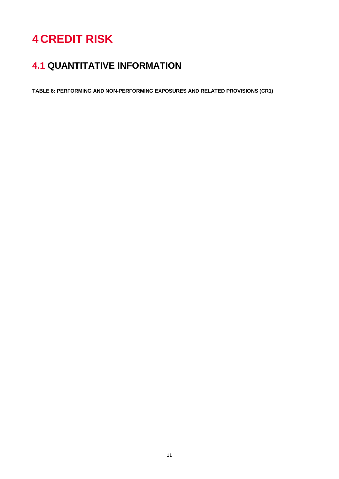## <span id="page-10-0"></span>**4 CREDIT RISK**

### <span id="page-10-1"></span>**4.1 QUANTITATIVE INFORMATION**

**TABLE 8: PERFORMING AND NON-PERFORMING EXPOSURES AND RELATED PROVISIONS (CR1)**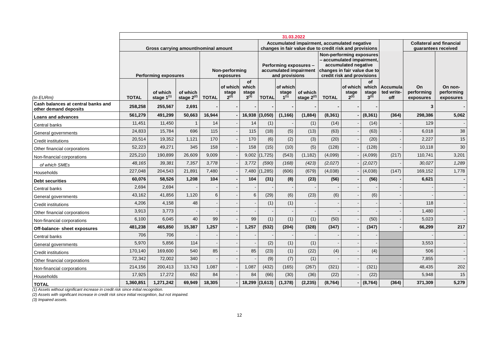|                                                             |              |                             |                             |                                                                     |                                |                                   |                                                                    | 31.03.2022                                                                                              |                             |                                                                                                                                             |                                |                                   |                                                        |                               |                                    |
|-------------------------------------------------------------|--------------|-----------------------------|-----------------------------|---------------------------------------------------------------------|--------------------------------|-----------------------------------|--------------------------------------------------------------------|---------------------------------------------------------------------------------------------------------|-----------------------------|---------------------------------------------------------------------------------------------------------------------------------------------|--------------------------------|-----------------------------------|--------------------------------------------------------|-------------------------------|------------------------------------|
|                                                             |              |                             |                             |                                                                     |                                |                                   |                                                                    | Accumulated impairment, accumulated negative<br>changes in fair value due to credit risk and provisions |                             |                                                                                                                                             |                                |                                   | <b>Collateral and financial</b><br>quarantees received |                               |                                    |
|                                                             |              | <b>Performing exposures</b> |                             | Gross carrying amount/nominal amount<br>Non-performing<br>exposures |                                |                                   | Performing exposures -<br>accumulated impairment<br>and provisions |                                                                                                         |                             | Non-performing exposures<br>- accumulated impairment,<br>accumulated negative<br>changes in fair value due to<br>credit risk and provisions |                                |                                   |                                                        |                               |                                    |
| $(ln$ EURm $)$                                              | <b>TOTAL</b> | of which<br>stage $1^{(1)}$ | of which<br>stage $2^{(2)}$ | <b>TOTAL</b>                                                        | of which<br>stage<br>$2^{(2)}$ | of<br>which<br>stage<br>$3^{(3)}$ | <b>TOTAL</b>                                                       | of which<br>stage<br>$1^{(1)}$                                                                          | of which<br>stage $2^{(2)}$ | <b>TOTAL</b>                                                                                                                                | of which<br>stage<br>$2^{(2)}$ | Οf<br>which<br>stage<br>$3^{(3)}$ | Accumula<br>ted write-<br>off                          | On<br>performing<br>exposures | On non-<br>performing<br>exposures |
| Cash balances at central banks and<br>other demand deposits | 258,258      | 255,567                     | 2,691                       |                                                                     |                                |                                   |                                                                    |                                                                                                         |                             |                                                                                                                                             |                                |                                   |                                                        | 3                             |                                    |
| <b>Loans and advances</b>                                   | 561,279      | 491,299                     | 50,663                      | 16,944                                                              |                                | 16,938                            | (3,050)                                                            | (1, 166)                                                                                                | (1,884)                     | (8, 361)                                                                                                                                    |                                | (8, 361)                          | (364)                                                  | 298,386                       | 5,062                              |
| Central banks                                               | 11,451       | 11,450                      |                             | 14                                                                  |                                | 14                                | (1)                                                                |                                                                                                         | (1)                         | (14)                                                                                                                                        |                                | (14)                              |                                                        | 129                           |                                    |
| General governments                                         | 24,833       | 15,784                      | 696                         | 115                                                                 |                                | 115                               | (18)                                                               | (5)                                                                                                     | (13)                        | (63)                                                                                                                                        |                                | (63)                              |                                                        | 6,018                         | 38                                 |
| <b>Credit institutions</b>                                  | 20,514       | 19,352                      | 1.121                       | 170                                                                 |                                | 170                               | (6)                                                                | (2)                                                                                                     | (3)                         | (20)                                                                                                                                        |                                | (20)                              |                                                        | 2.227                         | 15                                 |
| Other financial corporations                                | 52,223       | 49,271                      | 345                         | 158                                                                 |                                | 158                               | (15)                                                               | (10)                                                                                                    | (5)                         | (128)                                                                                                                                       |                                | (128)                             |                                                        | 10,118                        | 30                                 |
| Non-financial corporations                                  | 225,210      | 190,899                     | 26,609                      | 9.009                                                               |                                | 9,002                             | 1,725                                                              | (543)                                                                                                   | (1, 182)                    | (4,099)                                                                                                                                     |                                | (4,099)                           | (217)                                                  | 110.741                       | 3,201                              |
| of which SMEs                                               | 48,165       | 39,381                      | 7,357                       | 3,778                                                               |                                | 3,772                             | (590)                                                              | (168)                                                                                                   | (423)                       | (2,027)                                                                                                                                     |                                | (2,027)                           |                                                        | 30,027                        | 1,289                              |
| Households                                                  | 227,048      | 204,543                     | 21,891                      | 7,480                                                               |                                | 7,480                             | 1,285)                                                             | (606)                                                                                                   | (679)                       | (4,038)                                                                                                                                     |                                | (4,038)                           | (147)                                                  | 169,152                       | 1,778                              |
| <b>Debt securities</b>                                      | 60,076       | 58,526                      | 1,208                       | 104                                                                 |                                | 104                               | (31)                                                               | (8)                                                                                                     | (23)                        | (56)                                                                                                                                        |                                | (56)                              |                                                        | 6,621                         |                                    |
| Central banks                                               | 2,694        | 2,694                       |                             |                                                                     |                                |                                   |                                                                    |                                                                                                         |                             |                                                                                                                                             |                                |                                   |                                                        |                               |                                    |
| General governments                                         | 43,162       | 41,856                      | 1,120                       | 6                                                                   |                                | 6                                 | (29)                                                               | (6)                                                                                                     | (23)                        | (6)                                                                                                                                         |                                | (6)                               |                                                        |                               |                                    |
| <b>Credit institutions</b>                                  | 4,206        | 4,158                       | 48                          |                                                                     |                                |                                   | (1)                                                                | (1)                                                                                                     |                             |                                                                                                                                             |                                |                                   |                                                        | 118                           |                                    |
| Other financial corporations                                | 3,913        | 3,773                       |                             |                                                                     |                                |                                   |                                                                    |                                                                                                         |                             |                                                                                                                                             |                                |                                   |                                                        | 1,480                         |                                    |
| Non-financial corporations                                  | 6,100        | 6,045                       | 40                          | 99                                                                  |                                | 99                                | (1)                                                                | (1)                                                                                                     | (1)                         | (50)                                                                                                                                        |                                | (50)                              |                                                        | 5,023                         |                                    |
| Off-balance- sheet exposures                                | 481,238      | 465,850                     | 15,387                      | 1,257                                                               |                                | 1,257                             | (532)                                                              | (204)                                                                                                   | (328)                       | (347)                                                                                                                                       |                                | (347)                             |                                                        | 66,299                        | 217                                |
| Central banks                                               | 706          | 706                         |                             |                                                                     |                                |                                   |                                                                    |                                                                                                         |                             |                                                                                                                                             |                                |                                   |                                                        |                               |                                    |
| General governments                                         | 5,970        | 5,856                       | 114                         |                                                                     |                                |                                   | (2)                                                                | (1)                                                                                                     | (1)                         |                                                                                                                                             |                                |                                   |                                                        | 3,553                         |                                    |
| <b>Credit institutions</b>                                  | 170,140      | 169,600                     | 540                         | 85                                                                  |                                | 85                                | (23)                                                               | (1)                                                                                                     | (22)                        | (4)                                                                                                                                         |                                | (4)                               |                                                        | 506                           |                                    |
| Other financial corporations                                | 72,342       | 72,002                      | 340                         |                                                                     |                                |                                   | (9)                                                                | (7)                                                                                                     | (1)                         |                                                                                                                                             |                                |                                   |                                                        | 7.855                         |                                    |
| Non-financial corporations                                  | 214,156      | 200,413                     | 13,743                      | 1,087                                                               |                                | 1,087                             | (432)                                                              | (165)                                                                                                   | (267)                       | (321)                                                                                                                                       |                                | (321)                             |                                                        | 48,435                        | 202                                |
| Households                                                  | 17,925       | 17,272                      | 652                         | 84                                                                  |                                | 84                                | (66)                                                               | (30)                                                                                                    | (36)                        | (22)                                                                                                                                        |                                | (22)                              |                                                        | 5,948                         | 15                                 |
| <b>TOTAL</b>                                                | 1,360,851    | 1,271,242                   | 69,949                      | 18,305                                                              |                                |                                   | 18,299 (3,613)                                                     | (1, 378)                                                                                                | (2, 235)                    | (8, 764)                                                                                                                                    |                                | (8, 764)                          | (364)                                                  | 371,309                       | 5,279                              |

*(1) Assets without significant increase in credit risk since initial recognition.*

*(2) Assets with significant increase in credit risk since initial recognition, but not impaired.*

*(3) Impaired assets.*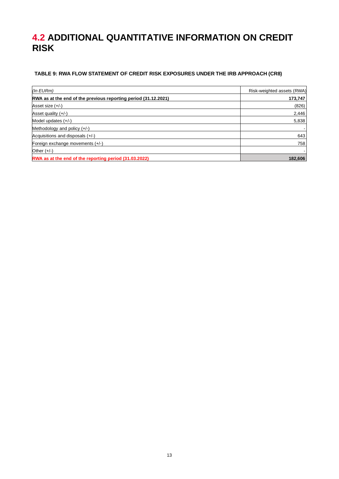### <span id="page-12-0"></span>**4.2 ADDITIONAL QUANTITATIVE INFORMATION ON CREDIT RISK**

#### **TABLE 9: RWA FLOW STATEMENT OF CREDIT RISK EXPOSURES UNDER THE IRB APPROACH (CR8)**

| $(ln$ EURm $)$                                                  | Risk-weighted assets (RWA) |
|-----------------------------------------------------------------|----------------------------|
| RWA as at the end of the previous reporting period (31.12.2021) | 173,747                    |
| Asset size $(+/-)$                                              | (826)                      |
| Asset quality $(+/-)$                                           | 2,446                      |
| Model updates $(+/-)$                                           | 5,838                      |
| Methodology and policy $(+/-)$                                  |                            |
| Acquisitions and disposals $(+/-)$                              | 643                        |
| Foreign exchange movements $(+/-)$                              | 758                        |
| Other $(+/-)$                                                   |                            |
| RWA as at the end of the reporting period (31.03.2022)          | 182,606                    |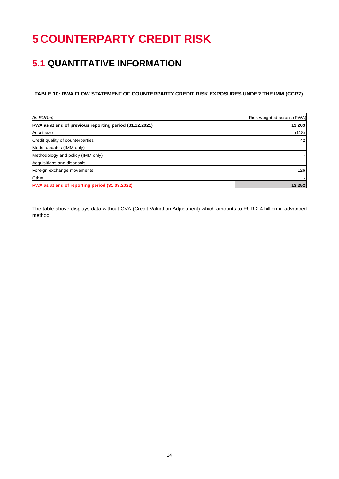## <span id="page-13-0"></span>**5 COUNTERPARTY CREDIT RISK**

### <span id="page-13-1"></span>**5.1 QUANTITATIVE INFORMATION**

**TABLE 10: RWA FLOW STATEMENT OF COUNTERPARTY CREDIT RISK EXPOSURES UNDER THE IMM (CCR7)**

| $(ln$ EURm $)$                                          | Risk-weighted assets (RWA) |
|---------------------------------------------------------|----------------------------|
| RWA as at end of previous reporting period (31.12.2021) | 13,203                     |
| Asset size                                              | (118)                      |
| Credit quality of counterparties                        | 42                         |
| Model updates (IMM only)                                |                            |
| Methodology and policy (IMM only)                       |                            |
| Acquisitions and disposals                              |                            |
| Foreign exchange movements                              | 126                        |
| Other                                                   |                            |
| RWA as at end of reporting period (31.03.2022)          | 13,252                     |

The table above displays data without CVA (Credit Valuation Adjustment) which amounts to EUR 2.4 billion in advanced method.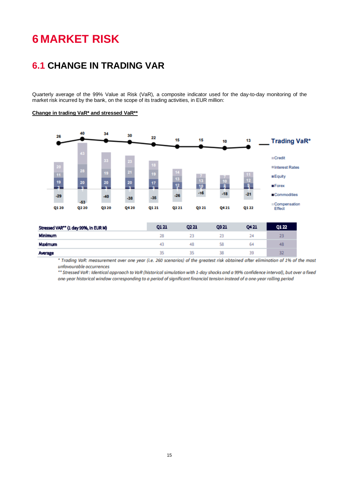## <span id="page-14-0"></span>**6 MARKET RISK**

### <span id="page-14-1"></span>**6.1 CHANGE IN TRADING VAR**

Quarterly average of the 99% Value at Risk (VaR), a composite indicator used for the day-to-day monitoring of the market risk incurred by the bank, on the scope of its trading activities, in EUR million:

#### **Change in trading VaR\* and stressed VaR\*\***



| Stressed VAR** (1 day 99%, In EUR M) | Q1 21 | 0221           | Q3 21 | Q421 | 0122 |
|--------------------------------------|-------|----------------|-------|------|------|
| Minimum                              | 28    | 23             | 23    | 24   | 23   |
| Maximum                              | 43    | 48             | 58    | 64   | 48   |
| Average                              |       | <b>Section</b> | 38    | 39   | 32   |

\* Trading VaR: measurement over one year (i.e. 260 scenarios) of the greatest risk obtained after elimination of 1% of the most unfavourable occurrences

\*\* Stressed VaR: Identical approach to VaR (historical simulation with 1-day shocks and a 99% confidence interval), but over a fixed one-year historical window corresponding to a period of significant financial tension instead of a one-year rolling period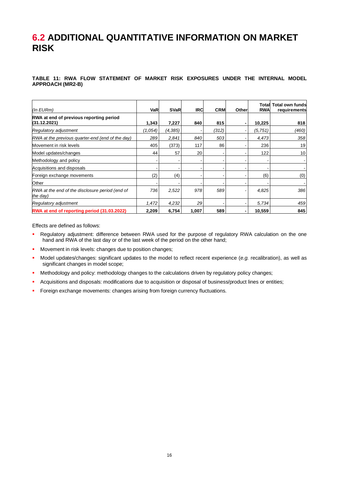### <span id="page-15-0"></span>**6.2 ADDITIONAL QUANTITATIVE INFORMATION ON MARKET RISK**

#### **TABLE 11: RWA FLOW STATEMENT OF MARKET RISK EXPOSURES UNDER THE INTERNAL MODEL APPROACH (MR2-B)**

| (In $E$ URm)                                                | <b>VaR</b> | <b>SVaR</b> | <b>IRC</b> | <b>CRM</b> | Other | Total<br><b>RWA</b> | <b>Total own funds</b><br>requirements |
|-------------------------------------------------------------|------------|-------------|------------|------------|-------|---------------------|----------------------------------------|
| RWA at end of previous reporting period<br>(31.12.2021)     | 1,343      | 7,227       | 840        | 815        |       | 10,225              | 818                                    |
| Regulatory adjustment                                       | (1,054)    | (4, 385)    |            | (312)      |       | (5, 751)            | (460)                                  |
| RWA at the previous quarter-end (end of the day)            | 289        | 2,841       | 840        | 503        |       | 4,473               | 358                                    |
| Movement in risk levels                                     | 405        | (373)       | 117        | 86         |       | 236                 | 19                                     |
| Model updates/changes                                       | 44         | 57          | 20         |            |       | 122                 | 10                                     |
| Methodology and policy                                      |            |             |            |            |       |                     |                                        |
| Acquisitions and disposals                                  |            |             |            |            |       |                     |                                        |
| Foreign exchange movements                                  | (2)        | (4)         |            |            |       | (6)                 | (0)                                    |
| Other                                                       |            |             |            |            |       |                     |                                        |
| RWA at the end of the disclosure period (end of<br>the day) | 736        | 2,522       | 978        | 589        |       | 4,825               | 386                                    |
| Regulatory adjustment                                       | 1,472      | 4,232       | 29         |            |       | 5,734               | 459                                    |
| RWA at end of reporting period (31.03.2022)                 | 2,209      | 6,754       | 1,007      | 589        |       | 10,559              | 845                                    |

Effects are defined as follows:

- Regulatory adjustment: difference between RWA used for the purpose of regulatory RWA calculation on the one hand and RWA of the last day or of the last week of the period on the other hand;
- **■** Movement in risk levels: changes due to position changes;
- Model updates/changes: significant updates to the model to reflect recent experience (*e.g.* recalibration), as well as significant changes in model scope;
- **■** Methodology and policy: methodology changes to the calculations driven by regulatory policy changes;
- Acquisitions and disposals: modifications due to acquisition or disposal of business/product lines or entities;
- **•** Foreign exchange movements: changes arising from foreign currency fluctuations.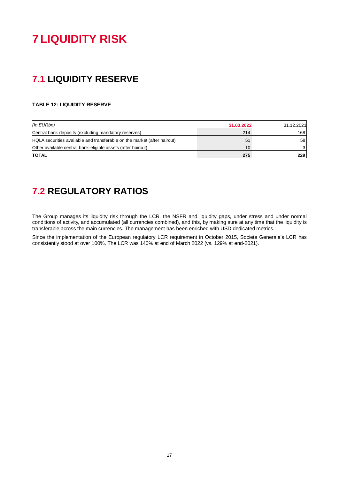## <span id="page-16-0"></span>**7 LIQUIDITY RISK**

### <span id="page-16-1"></span>**7.1 LIQUIDITY RESERVE**

#### **TABLE 12: LIQUIDITY RESERVE**

| (In EURbn)                                                               | 31.03.2022 | 31.12.2021 |
|--------------------------------------------------------------------------|------------|------------|
| Central bank deposits (excluding mandatory reserves)                     | 214        | 168        |
| HQLA securities available and transferable on the market (after haircut) | 51         | 58         |
| Other available central bank-eligible assets (after haircut)             | 10         |            |
| <b>TOTAL</b>                                                             | 275        | 229        |

### <span id="page-16-2"></span>**7.2 REGULATORY RATIOS**

The Group manages its liquidity risk through the LCR, the NSFR and liquidity gaps, under stress and under normal conditions of activity, and accumulated (all currencies combined), and this, by making sure at any time that the liquidity is transferable across the main currencies. The management has been enriched with USD dedicated metrics.

Since the implementation of the European regulatory LCR requirement in October 2015, Societe Generale's LCR has consistently stood at over 100%. The LCR was 140% at end of March 2022 (vs. 129% at end-2021).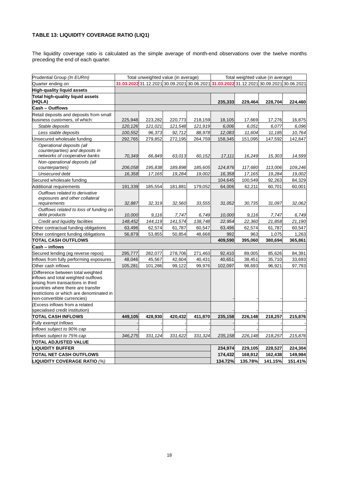#### **TABLE 13: LIQUIDITY COVERAGE RATIO (LIQ1)**

The liquidity coverage ratio is calculated as the simple average of month-end observations over the twelve months preceding the end of each quarter.

| Prudential Group (In EURm)                                                                                                                                                                                                       |                                                                                         |         | Total unweighted value (in average) |         |         |         | Total weighted value (in average) |         |
|----------------------------------------------------------------------------------------------------------------------------------------------------------------------------------------------------------------------------------|-----------------------------------------------------------------------------------------|---------|-------------------------------------|---------|---------|---------|-----------------------------------|---------|
| Quarter ending on                                                                                                                                                                                                                | 31.03.2022 31.12.2021 30.09.2021 30.06.2021 31.03.2022 31.12.2021 30.09.2021 30.06.2021 |         |                                     |         |         |         |                                   |         |
| <b>High-quality liquid assets</b>                                                                                                                                                                                                |                                                                                         |         |                                     |         |         |         |                                   |         |
| Total high-quality liquid assets<br>(HQLA)                                                                                                                                                                                       |                                                                                         |         |                                     |         | 235,333 | 229,464 | 228,704                           | 224,460 |
| Cash - Outflows                                                                                                                                                                                                                  |                                                                                         |         |                                     |         |         |         |                                   |         |
| Retail deposits and deposits from small<br>business customers, of which:                                                                                                                                                         | 225,948                                                                                 | 223,282 | 220,773                             | 218,159 | 18,105  | 17,669  | 17,276                            | 16,875  |
| Stable deposits                                                                                                                                                                                                                  | 120,126                                                                                 | 121,021 | 121,548                             | 121,919 | 6,006   | 6.051   | 6,077                             | 6.096   |
| Less stable deposits                                                                                                                                                                                                             | 100,552                                                                                 | 96,373  | 92,712                              | 88,978  | 12,083  | 11,604  | 11,185                            | 10,764  |
| Unsecured wholesale funding                                                                                                                                                                                                      | 292,765                                                                                 | 279,852 | 272,195                             | 264,759 | 158,345 | 151,095 | 147,592                           | 142,847 |
| Operational deposits (all<br>counterparties) and deposits in<br>networks of cooperative banks                                                                                                                                    | 70,349                                                                                  | 66,849  | 63,013                              | 60, 152 | 17,111  | 16,249  | 15,303                            | 14,599  |
| Non-operational deposits (all<br>counterparties)                                                                                                                                                                                 | 206,058                                                                                 | 195,838 | 189,898                             | 185,605 | 124,876 | 117,680 | 113,006                           | 109,246 |
| Unsecured debt                                                                                                                                                                                                                   | 16,358                                                                                  | 17,165  | 19,284                              | 19,002  | 16,358  | 17,165  | 19,284                            | 19,002  |
| Secured wholesale funding                                                                                                                                                                                                        |                                                                                         |         |                                     |         | 104,645 | 100,549 | 92,263                            | 84,329  |
| Additional requirements                                                                                                                                                                                                          | 191,339                                                                                 | 185,554 | 181,881                             | 179,052 | 64,006  | 62,211  | 60,701                            | 60,001  |
| Outflows related to derivative<br>exposures and other collateral                                                                                                                                                                 |                                                                                         |         |                                     |         |         |         |                                   |         |
| requirements                                                                                                                                                                                                                     | 32,887                                                                                  | 32,319  | 32,560                              | 33,555  | 31,052  | 30,735  | 31,097                            | 32,062  |
| Outflows related to loss of funding on<br>debt products                                                                                                                                                                          | 10,000                                                                                  | 9,116   | 7,747                               | 6,749   | 10,000  | 9,116   | 7,747                             | 6,749   |
| Credit and liquidity facilities                                                                                                                                                                                                  | 148,452                                                                                 | 144,119 | 141,574                             | 138,748 | 22,954  | 22,360  | 21,858                            | 21,190  |
| Other contractual funding obligations                                                                                                                                                                                            | 63,496                                                                                  | 62,574  | 61,787                              | 60,547  | 63,496  | 62,574  | 61,787                            | 60,547  |
| Other contingent funding obligations                                                                                                                                                                                             | 56,879                                                                                  | 53,855  | 50,854                              | 48,668  | 992     | 963     | 1,075                             | 1,263   |
| <b>TOTAL CASH OUTFLOWS</b>                                                                                                                                                                                                       |                                                                                         |         |                                     |         | 409,590 | 395,060 | 380,694                           | 365,861 |
| Cash - inflows                                                                                                                                                                                                                   |                                                                                         |         |                                     |         |         |         |                                   |         |
| Secured lending (eg reverse repos)                                                                                                                                                                                               | 295,777                                                                                 | 282,077 | 278,706                             | 271,463 | 92,410  | 89,005  | 85,626                            | 84,391  |
| Inflows from fully performing exposures                                                                                                                                                                                          | 48,046                                                                                  | 45,567  | 42,604                              | 40,431  | 40,651  | 38,451  | 35,710                            | 33,693  |
| Other cash inflows                                                                                                                                                                                                               | 105,281                                                                                 | 101,286 | 99,122                              | 99,976  | 102,097 | 98,693  | 96,921                            | 97,793  |
| (Difference between total weighted<br>inflows and total weighted outflows<br>arising from transactions in third<br>countries where there are transfer<br>restrictions or which are denominated in<br>non-convertible currencies) |                                                                                         |         |                                     |         |         |         |                                   |         |
| (Excess inflows from a related<br>specialised credit institution)                                                                                                                                                                |                                                                                         |         |                                     |         |         |         |                                   |         |
| <b>TOTAL CASH INFLOWS</b>                                                                                                                                                                                                        | 449,105                                                                                 | 428,930 | 420,432                             | 411,870 | 235,158 | 226,148 | 218,257                           | 215,876 |
| Fully exempt Inflows                                                                                                                                                                                                             |                                                                                         |         |                                     |         |         |         |                                   |         |
| Inflows subject to 90% cap                                                                                                                                                                                                       |                                                                                         |         |                                     |         |         |         |                                   |         |
| Inflows subject to 75% cap                                                                                                                                                                                                       | 346,275                                                                                 | 331,124 | 331,622                             | 331,324 | 235,158 | 226,148 | 218,257                           | 215,876 |
| <b>TOTAL ADJUSTED VALUE</b>                                                                                                                                                                                                      |                                                                                         |         |                                     |         |         |         |                                   |         |
| <b>LIQUIDITY BUFFER</b>                                                                                                                                                                                                          |                                                                                         |         |                                     |         | 234,974 | 229,105 | 228,527                           | 224,304 |
| <b>TOTAL NET CASH OUTFLOWS</b>                                                                                                                                                                                                   |                                                                                         |         |                                     |         | 174,432 | 168,912 | 162,438                           | 149,984 |
| LIQUIDITY COVERAGE RATIO (%)                                                                                                                                                                                                     |                                                                                         |         |                                     |         | 134.72% | 135.78% | 141.15%                           | 151.41% |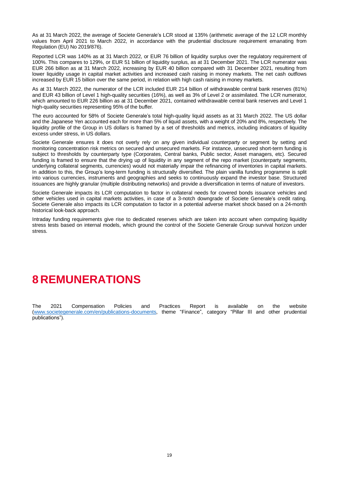As at 31 March 2022, the average of Societe Generale's LCR stood at 135% (arithmetic average of the 12 LCR monthly values from April 2021 to March 2022, in accordance with the prudential disclosure requirement emanating from Regulation (EU) No 2019/876).

Reported LCR was 140% as at 31 March 2022, or EUR 76 billion of liquidity surplus over the regulatory requirement of 100%. This compares to 129%, or EUR 51 billion of liquidity surplus, as at 31 December 2021. The LCR numerator was EUR 266 billion as at 31 March 2022, increasing by EUR 40 billion compared with 31 December 2021, resulting from lower liquidity usage in capital market activities and increased cash raising in money markets. The net cash outflows increased by EUR 15 billion over the same period, in relation with high cash raising in money markets.

As at 31 March 2022, the numerator of the LCR included EUR 214 billion of withdrawable central bank reserves (81%) and EUR 43 billion of Level 1 high-quality securities (16%), as well as 3% of Level 2 or assimilated. The LCR numerator, which amounted to EUR 226 billion as at 31 December 2021, contained withdrawable central bank reserves and Level 1 high-quality securities representing 95% of the buffer.

The euro accounted for 58% of Societe Generale's total high-quality liquid assets as at 31 March 2022. The US dollar and the Japanese Yen accounted each for more than 5% of liquid assets, with a weight of 20% and 8%, respectively. The liquidity profile of the Group in US dollars is framed by a set of thresholds and metrics, including indicators of liquidity excess under stress, in US dollars.

Societe Generale ensures it does not overly rely on any given individual counterparty or segment by setting and monitoring concentration risk metrics on secured and unsecured markets. For instance, unsecured short-term funding is subject to thresholds by counterparty type (Corporates, Central banks, Public sector, Asset managers, etc). Secured funding is framed to ensure that the drying up of liquidity in any segment of the repo market (counterparty segments, underlying collateral segments, currencies) would not materially impair the refinancing of inventories in capital markets. In addition to this, the Group's long-term funding is structurally diversified. The plain vanilla funding programme is split into various currencies, instruments and geographies and seeks to continuously expand the investor base. Structured issuances are highly granular (multiple distributing networks) and provide a diversification in terms of nature of investors.

Societe Generale impacts its LCR computation to factor in collateral needs for covered bonds issuance vehicles and other vehicles used in capital markets activities, in case of a 3-notch downgrade of Societe Generale's credit rating. Societe Generale also impacts its LCR computation to factor in a potential adverse market shock based on a 24-month historical look-back approach.

Intraday funding requirements give rise to dedicated reserves which are taken into account when computing liquidity stress tests based on internal models, which ground the control of the Societe Generale Group survival horizon under stress.

## <span id="page-18-0"></span>**8 REMUNERATIONS**

The 2021 Compensation Policies and Practices Report is available on the website [\(www.societegenerale.com/en/publications-documents,](https://www.societegenerale.com/en/publications-documents) theme "Finance", category "Pillar III and other prudential publications").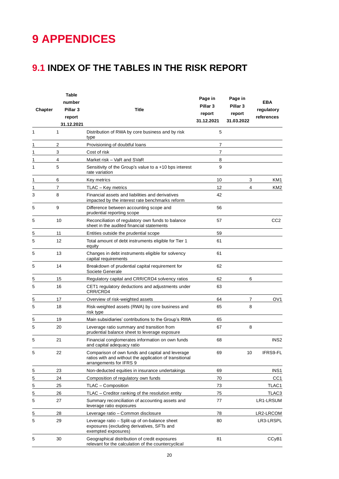## <span id="page-19-0"></span>**9 APPENDICES**

### <span id="page-19-1"></span>**9.1 INDEX OF THE TABLES IN THE RISK REPORT**

|         | Table<br>number      |                                                                                                                                        | Page in                       | Page in                       | <b>EBA</b>       |
|---------|----------------------|----------------------------------------------------------------------------------------------------------------------------------------|-------------------------------|-------------------------------|------------------|
| Chapter | Pillar <sub>3</sub>  | <b>Title</b>                                                                                                                           | Pillar <sub>3</sub><br>report | Pillar <sub>3</sub><br>report | regulatory       |
|         | report<br>31.12.2021 |                                                                                                                                        | 31.12.2021                    | 31.03.2022                    | references       |
| 1       | 1                    | Distribution of RWA by core business and by risk<br>type                                                                               | 5                             |                               |                  |
| 1       | $\overline{2}$       | Provisioning of doubtful loans                                                                                                         | 7                             |                               |                  |
| 1       | 3                    | Cost of risk                                                                                                                           | 7                             |                               |                  |
| 1       | 4                    | Market risk - VaR and SVaR                                                                                                             | 8                             |                               |                  |
| 1       | 5                    | Sensitivity of the Group's value to $a + 10$ bps interest<br>rate variation                                                            | 9                             |                               |                  |
| 1       | 6                    | Key metrics                                                                                                                            | 10                            | 3                             | KM1              |
| 1       | 7                    | TLAC - Key metrics                                                                                                                     | 12                            | 4                             | KM <sub>2</sub>  |
| 3       | 8                    | Financial assets and liabilities and derivatives<br>impacted by the interest rate benchmarks reform                                    | 42                            |                               |                  |
| 5       | 9                    | Difference between accounting scope and<br>prudential reporting scope                                                                  | 56                            |                               |                  |
| 5       | 10                   | Reconciliation of regulatory own funds to balance<br>sheet in the audited financial statements                                         | 57                            |                               | CC2              |
| 5       | 11                   | Entities outside the prudential scope                                                                                                  | 59                            |                               |                  |
| 5       | 12                   | Total amount of debt instruments eligible for Tier 1<br>equity                                                                         | 61                            |                               |                  |
| 5       | 13                   | Changes in debt instruments eligible for solvency<br>capital requirements                                                              | 61                            |                               |                  |
| 5       | 14                   | Breakdown of prudential capital requirement for<br>Societe Generale                                                                    | 62                            |                               |                  |
| 5       | 15                   | Regulatory capital and CRR/CRD4 solvency ratios                                                                                        | 62                            | 6                             |                  |
| 5       | 16                   | CET1 regulatory deductions and adjustments under<br>CRR/CRD4                                                                           | 63                            |                               |                  |
| 5       | 17                   | Overview of risk-weighted assets                                                                                                       | 64                            | 7                             | OV <sub>1</sub>  |
| 5       | 18                   | Risk-weighted assets (RWA) by core business and<br>risk type                                                                           | 65                            | 8                             |                  |
| 5       | 19                   | Main subsidiaries' contributions to the Group's RWA                                                                                    | 65                            |                               |                  |
| 5       | 20                   | Leverage ratio summary and transition from<br>prudential balance sheet to leverage exposure                                            | 67                            | 8                             |                  |
| 5       | 21                   | Financial conglomerates information on own funds<br>and capital adequacy ratio                                                         | 68                            |                               | INS <sub>2</sub> |
| 5       | 22                   | Comparison of own funds and capital and leverage<br>ratios with and without the application of transitional<br>arrangements for IFRS 9 | 69                            | 10                            | IFRS9-FL         |
| 5       | 23                   | Non-deducted equities in insurance undertakings                                                                                        | 69                            |                               | INS1             |
| 5       | 24                   | Composition of regulatory own funds                                                                                                    | 70                            |                               | CC <sub>1</sub>  |
| 5       | 25                   | TLAC - Composition                                                                                                                     | 73                            |                               | TLAC1            |
| 5       | 26                   | TLAC - Creditor ranking of the resolution entity                                                                                       | 75                            |                               | TLAC3            |
| 5       | 27                   | Summary reconciliation of accounting assets and<br>leverage ratio exposures                                                            | 77                            |                               | LR1-LRSUM        |
| 5       | 28                   | Leverage ratio - Common disclosure                                                                                                     | 78                            |                               | LR2-LRCOM        |
| 5       | 29                   | Leverage ratio - Split-up of on-balance sheet<br>exposures (excluding derivatives, SFTs and<br>exempted exposures)                     | 80                            |                               | LR3-LRSPL        |
| 5       | 30                   | Geographical distribution of credit exposures<br>relevant for the calculation of the countercyclical                                   | 81                            |                               | CCyB1            |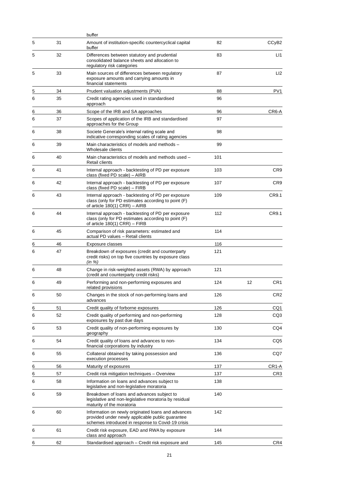|   |    | buffer                                                                                                                                                      |     |                   |
|---|----|-------------------------------------------------------------------------------------------------------------------------------------------------------------|-----|-------------------|
| 5 | 31 | Amount of institution-specific countercyclical capital<br>buffer                                                                                            | 82  | CCyB <sub>2</sub> |
| 5 | 32 | Differences between statutory and prudential<br>consolidated balance sheets and allocation to<br>regulatory risk categories                                 | 83  | LI1               |
| 5 | 33 | Main sources of differences between regulatory<br>exposure amounts and carrying amounts in<br>financial statements                                          | 87  | LI2               |
| 5 | 34 | Prudent valuation adjustments (PVA)                                                                                                                         | 88  | PV1               |
| 6 | 35 | Credit rating agencies used in standardised<br>approach                                                                                                     | 96  |                   |
| 6 | 36 | Scope of the IRB and SA approaches                                                                                                                          | 96  | CR6-A             |
| 6 | 37 | Scopes of application of the IRB and standardised<br>approaches for the Group                                                                               | 97  |                   |
| 6 | 38 | Societe Generale's internal rating scale and<br>indicative corresponding scales of rating agencies                                                          | 98  |                   |
| 6 | 39 | Main characteristics of models and methods -<br>Wholesale clients                                                                                           | 99  |                   |
| 6 | 40 | Main characteristics of models and methods used -<br><b>Retail clients</b>                                                                                  | 101 |                   |
| 6 | 41 | Internal approach - backtesting of PD per exposure<br>class (fixed PD scale) - AIRB                                                                         | 103 | CR9               |
| 6 | 42 | Internal approach - backtesting of PD per exposure<br>class (fixed PD scale) - FIRB                                                                         | 107 | CR9               |
| 6 | 43 | Internal approach - backtesting of PD per exposure<br>class (only for PD estimates according to point (F)<br>of article $180(1)$ CRR) - AIRB                | 109 | CR9.1             |
| 6 | 44 | Internal approach - backtesting of PD per exposure<br>class (only for PD estimates according to point (F)<br>of article $180(1)$ CRR) - FIRB                | 112 | CR9.1             |
| 6 | 45 | Comparison of risk parameters: estimated and<br>actual PD values - Retail clients                                                                           | 114 |                   |
| 6 | 46 | Exposure classes                                                                                                                                            | 116 |                   |
| 6 | 47 | Breakdown of exposures (credit and counterparty<br>credit risks) on top five countries by exposure class<br>(in %)                                          | 121 |                   |
| 6 | 48 | Change in risk-weighted assets (RWA) by approach<br>(credit and counterparty credit risks)                                                                  | 121 |                   |
| 6 | 49 | Performing and non-performing exposures and<br>related provisions <b>contains</b>                                                                           | 124 | 12<br>CR1         |
| 6 | 50 | Changes in the stock of non-performing loans and<br>advances                                                                                                | 126 | CR <sub>2</sub>   |
| 6 | 51 | Credit quality of forborne exposures                                                                                                                        | 126 | CQ1               |
| 6 | 52 | Credit quality of performing and non-performing<br>exposures by past due days                                                                               | 128 | CQ <sub>3</sub>   |
| 6 | 53 | Credit quality of non-performing exposures by<br>geography                                                                                                  | 130 | CQ4               |
| 6 | 54 | Credit quality of loans and advances to non-<br>financial corporations by industry                                                                          | 134 | CQ5               |
| 6 | 55 | Collateral obtained by taking possession and<br>execution processes                                                                                         | 136 | CQ7               |
| 6 | 56 | Maturity of exposures                                                                                                                                       | 137 | CR1-A             |
| 6 | 57 | Credit risk mitigation techniques - Overview                                                                                                                | 137 | CR <sub>3</sub>   |
| 6 | 58 | Information on loans and advances subject to<br>legislative and non-legislative moratoria                                                                   | 138 |                   |
| 6 | 59 | Breakdown of loans and advances subject to<br>legislative and non-legislative moratoria by residual<br>maturity of the moratoria                            | 140 |                   |
| 6 | 60 | Information on newly originated loans and advances<br>provided under newly applicable public guarantee<br>schemes introduced in response to Covid-19 crisis | 142 |                   |
| 6 | 61 | Credit risk exposure, EAD and RWA by exposure<br>class and approach                                                                                         | 144 |                   |
| 6 | 62 | Standardised approach - Credit risk exposure and                                                                                                            | 145 | CR4               |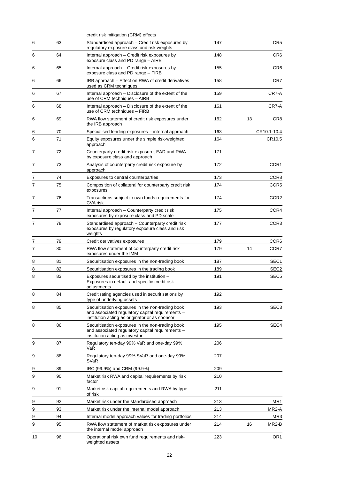|                |    | credit risk mitigation (CRM) effects                                                                                                                   |     |    |                  |
|----------------|----|--------------------------------------------------------------------------------------------------------------------------------------------------------|-----|----|------------------|
| 6              | 63 | Standardised approach – Credit risk exposures by<br>regulatory exposure class and risk weights                                                         | 147 |    | CR <sub>5</sub>  |
| 6              | 64 | Internal approach - Credit risk exposures by<br>exposure class and PD range - AIRB                                                                     | 148 |    | CR <sub>6</sub>  |
| 6              | 65 | Internal approach - Credit risk exposures by<br>exposure class and PD range - FIRB                                                                     | 155 |    | CR <sub>6</sub>  |
| 6              | 66 | IRB approach - Effect on RWA of credit derivatives<br>used as CRM techniques                                                                           | 158 |    | CR7              |
| 6              | 67 | Internal approach - Disclosure of the extent of the<br>use of CRM techniques - AIRB                                                                    | 159 |    | CR7-A            |
| 6              | 68 | Internal approach - Disclosure of the extent of the<br>use of CRM techniques - FIRB                                                                    | 161 |    | CR7-A            |
| 6              | 69 | RWA flow statement of credit risk exposures under<br>the IRB approach                                                                                  | 162 | 13 | CR8              |
| 6              | 70 | Specialised lending exposures - internal approach                                                                                                      | 163 |    | CR10.1-10.4      |
| 6              | 71 | Equity exposures under the simple risk-weighted<br>approach                                                                                            | 164 |    | CR10.5           |
| 7              | 72 | Counterparty credit risk exposure, EAD and RWA<br>by exposure class and approach                                                                       | 171 |    |                  |
| 7              | 73 | Analysis of counterparty credit risk exposure by<br>approach                                                                                           | 172 |    | CCR1             |
| 7              | 74 | Exposures to central counterparties                                                                                                                    | 173 |    | CCR8             |
| $\overline{7}$ | 75 | Composition of collateral for counterparty credit risk<br>exposures                                                                                    | 174 |    | CCR <sub>5</sub> |
| $\overline{7}$ | 76 | Transactions subject to own funds requirements for<br>CVA risk                                                                                         | 174 |    | CCR <sub>2</sub> |
| 7              | 77 | Internal approach - Counterparty credit risk<br>exposures by exposure class and PD scale                                                               | 175 |    | CCR4             |
| 7              | 78 | Standardised approach - Counterparty credit risk<br>exposures by regulatory exposure class and risk<br>weights                                         | 177 |    | CCR3             |
| 7              | 79 | Credit derivatives exposures                                                                                                                           | 179 |    | CCR6             |
| 7              | 80 | RWA flow statement of counterparty credit risk<br>exposures under the IMM                                                                              | 179 | 14 | CCR7             |
| 8              | 81 | Securitisation exposures in the non-trading book                                                                                                       | 187 |    | SEC1             |
| 8              | 82 | Securitisation exposures in the trading book                                                                                                           | 189 |    | SEC <sub>2</sub> |
| 8              | 83 | Exposures securitised by the institution -<br>Exposures in default and specific credit risk<br>adjustments                                             | 191 |    | SEC5             |
| 8              | 84 | Credit rating agencies used in securitisations by<br>type of underlying assets                                                                         | 192 |    |                  |
| 8              | 85 | Securitisation exposures in the non-trading book<br>and associated regulatory capital requirements -<br>institution acting as originator or as sponsor | 193 |    | SEC <sub>3</sub> |
| 8              | 86 | Securitisation exposures in the non-trading book<br>and associated regulatory capital requirements -<br>institution acting as investor                 | 195 |    | SEC4             |
| 9              | 87 | Regulatory ten-day 99% VaR and one-day 99%<br>VaR                                                                                                      | 206 |    |                  |
| 9              | 88 | Regulatory ten-day 99% SVaR and one-day 99%<br>SVaR                                                                                                    | 207 |    |                  |
| 9              | 89 | IRC (99.9%) and CRM (99.9%)                                                                                                                            | 209 |    |                  |
| 9              | 90 | Market risk RWA and capital requirements by risk<br>factor                                                                                             | 210 |    |                  |
| 9              | 91 | Market risk capital requirements and RWA by type<br>of risk                                                                                            | 211 |    |                  |
| 9              | 92 | Market risk under the standardised approach                                                                                                            | 213 |    | MR1              |
| 9              | 93 | Market risk under the internal model approach                                                                                                          | 213 |    | MR2-A            |
| 9              | 94 | Internal model approach values for trading portfolios                                                                                                  | 214 |    | MR3              |
| 9              | 95 | RWA flow statement of market risk exposures under<br>the internal model approach                                                                       | 214 | 16 | MR2-B            |
| 10             | 96 | Operational risk own fund requirements and risk-<br>weighted assets                                                                                    | 223 |    | OR1              |